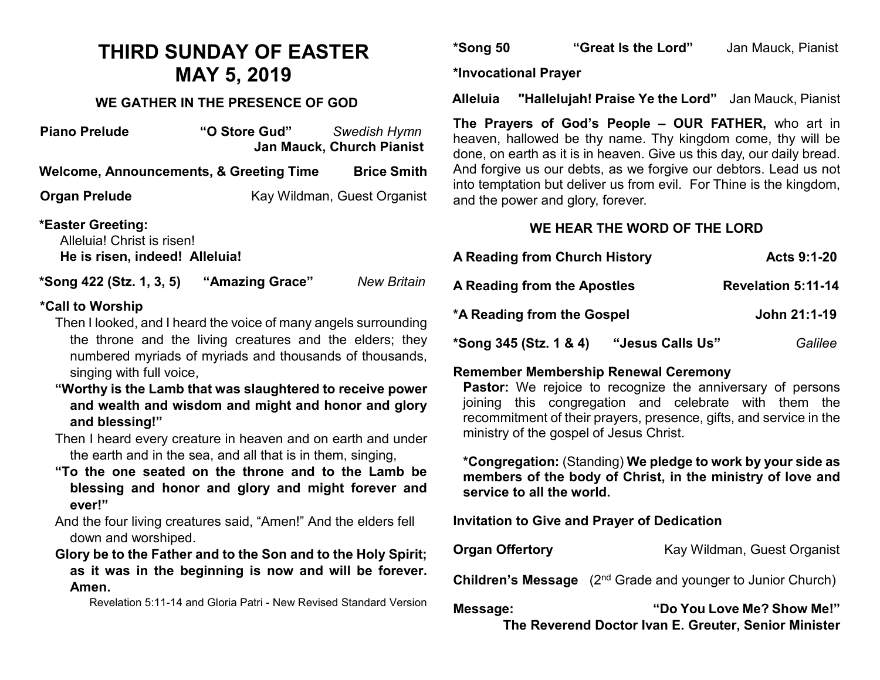# **THIRD SUNDAY OF EASTER MAY 5, 2019**

#### **WE GATHER IN THE PRESENCE OF GOD**

| "O Store Gud"                                                | Swedish Hymn<br>Jan Mauck, Church Pianist<br>d |
|--------------------------------------------------------------|------------------------------------------------|
| Welcome, Announcements, & Greeting Time                      | A<br><b>Brice Smith</b>                        |
|                                                              | ir<br>Kay Wildman, Guest Organist<br>a         |
| Alleluia! Christ is risen!<br>He is risen, indeed! Alleluia! |                                                |
| "Amazing Grace"<br>*Song 422 (Stz. 1, 3, 5)                  | <b>New Britain</b>                             |
|                                                              |                                                |

#### **\*Call to Worship**

- Then I looked, and I heard the voice of many angels surrounding the throne and the living creatures and the elders; they numbered myriads of myriads and thousands of thousands, singing with full voice,
- **"Worthy is the Lamb that was slaughtered to receive power and wealth and wisdom and might and honor and glory and blessing!"**
- Then I heard every creature in heaven and on earth and under the earth and in the sea, and all that is in them, singing,
- **"To the one seated on the throne and to the Lamb be blessing and honor and glory and might forever and ever!"**
- And the four living creatures said, "Amen!" And the elders fell down and worshiped.
- **Glory be to the Father and to the Son and to the Holy Spirit; as it was in the beginning is now and will be forever. Amen.**

Revelation 5:11-14 and Gloria Patri - New Revised Standard Version

**\*Song 50 "Great Is the Lord"** Jan Mauck, Pianist

**\*Invocational Prayer** 

**Alleluia "Hallelujah! Praise Ye the Lord"** Jan Mauck, Pianist

**The Prayers of God's People – OUR FATHER,** who art in heaven, hallowed be thy name. Thy kingdom come, thy will be lone, on earth as it is in heaven. Give us this day, our daily bread. And forgive us our debts, as we forgive our debtors. Lead us not nto temptation but deliver us from evil. For Thine is the kingdom, and the power and glory, forever.

### **WE HEAR THE WORD OF THE LORD**

| A Reading from Church History | Acts 9:1-20                 |
|-------------------------------|-----------------------------|
| A Reading from the Apostles   | <b>Revelation 5:11-14</b>   |
| *A Reading from the Gospel    | John 21:1-19                |
| *Song 345 (Stz. 1 & 4)        | "Jesus Calls Us"<br>Galilee |

## **Remember Membership Renewal Ceremony**

**Pastor:** We rejoice to recognize the anniversary of persons joining this congregation and celebrate with them the recommitment of their prayers, presence, gifts, and service in the ministry of the gospel of Jesus Christ.

**\*Congregation:** (Standing) **We pledge to work by your side as members of the body of Christ, in the ministry of love and service to all the world.**

**Invitation to Give and Prayer of Dedication** 

**Organ Offertory Kay Wildman, Guest Organist** 

**Children's Message** (2<sup>nd</sup> Grade and younger to Junior Church)

**Message: "Do You Love Me? Show Me!" The Reverend Doctor Ivan E. Greuter, Senior Minister**